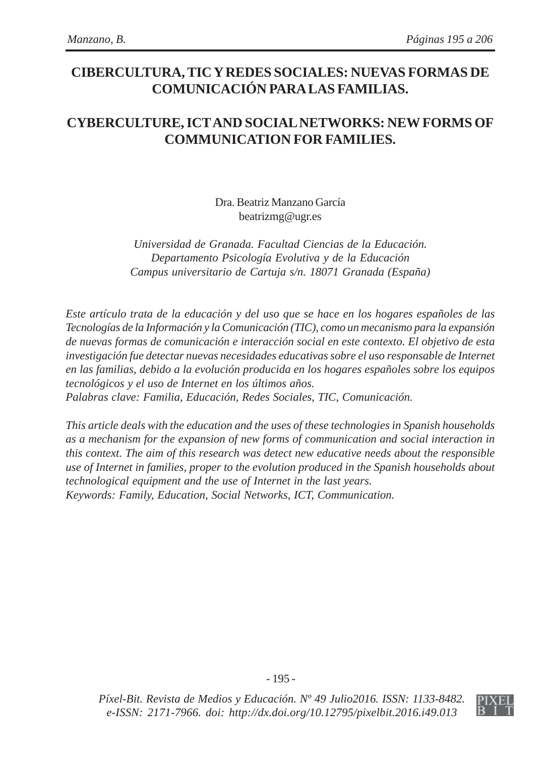# **CIBERCULTURA, TIC Y REDES SOCIALES: NUEVAS FORMAS DE COMUNICACIÓN PARA LAS FAMILIAS.**

## **CYBERCULTURE, ICT AND SOCIAL NETWORKS: NEW FORMS OF COMMUNICATION FOR FAMILIES.**

Dra. Beatriz Manzano García beatrizmg@ugr.es

*Universidad de Granada. Facultad Ciencias de la Educación. Departamento Psicología Evolutiva y de la Educación Campus universitario de Cartuja s/n. 18071 Granada (España)*

*Este artículo trata de la educación y del uso que se hace en los hogares españoles de las Tecnologías de la Información y la Comunicación (TIC), como un mecanismo para la expansión de nuevas formas de comunicación e interacción social en este contexto. El objetivo de esta investigación fue detectar nuevas necesidades educativas sobre el uso responsable de Internet en las familias, debido a la evolución producida en los hogares españoles sobre los equipos tecnológicos y el uso de Internet en los últimos años. Palabras clave: Familia, Educación, Redes Sociales, TIC, Comunicación.*

*This article deals with the education and the uses of these technologies in Spanish households as a mechanism for the expansion of new forms of communication and social interaction in this context. The aim of this research was detect new educative needs about the responsible use of Internet in families, proper to the evolution produced in the Spanish households about technological equipment and the use of Internet in the last years. Keywords: Family, Education, Social Networks, ICT, Communication.*

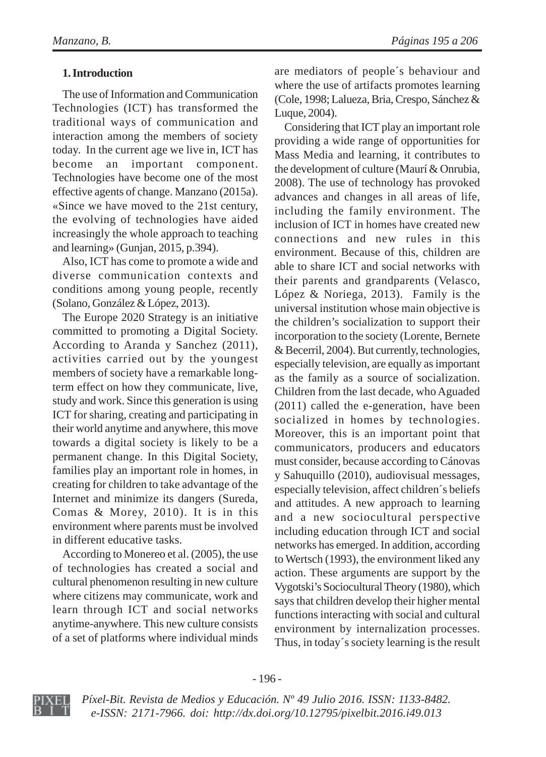### **1. Introduction**

The use of Information and Communication Technologies (ICT) has transformed the traditional ways of communication and interaction among the members of society today. In the current age we live in, ICT has become an important component. Technologies have become one of the most effective agents of change. Manzano (2015a). «Since we have moved to the 21st century, the evolving of technologies have aided increasingly the whole approach to teaching and learning» (Gunjan, 2015, p.394).

Also, ICT has come to promote a wide and diverse communication contexts and conditions among young people, recently (Solano, González & López, 2013).

The Europe 2020 Strategy is an initiative committed to promoting a Digital Society. According to Aranda y Sanchez (2011), activities carried out by the youngest members of society have a remarkable longterm effect on how they communicate, live, study and work. Since this generation is using ICT for sharing, creating and participating in their world anytime and anywhere, this move towards a digital society is likely to be a permanent change. In this Digital Society, families play an important role in homes, in creating for children to take advantage of the Internet and minimize its dangers (Sureda, Comas & Morey, 2010). It is in this environment where parents must be involved in different educative tasks.

According to Monereo et al. (2005), the use of technologies has created a social and cultural phenomenon resulting in new culture where citizens may communicate, work and learn through ICT and social networks anytime-anywhere. This new culture consists of a set of platforms where individual minds are mediators of people´s behaviour and where the use of artifacts promotes learning (Cole, 1998; Lalueza, Bria, Crespo, Sánchez & Luque, 2004).

Considering that ICT play an important role providing a wide range of opportunities for Mass Media and learning, it contributes to the development of culture (Maurí & Onrubia, 2008). The use of technology has provoked advances and changes in all areas of life, including the family environment. The inclusion of ICT in homes have created new connections and new rules in this environment. Because of this, children are able to share ICT and social networks with their parents and grandparents (Velasco, López & Noriega, 2013). Family is the universal institution whose main objective is the children's socialization to support their incorporation to the society (Lorente, Bernete & Becerril, 2004). But currently, technologies, especially television, are equally as important as the family as a source of socialization. Children from the last decade, who Aguaded (2011) called the e-generation, have been socialized in homes by technologies. Moreover, this is an important point that communicators, producers and educators must consider, because according to Cánovas y Sahuquillo (2010), audiovisual messages, especially television, affect children´s beliefs and attitudes. A new approach to learning and a new sociocultural perspective including education through ICT and social networks has emerged. In addition, according to Wertsch (1993), the environment liked any action. These arguments are support by the Vygotski's Sociocultural Theory (1980), which says that children develop their higher mental functions interacting with social and cultural environment by internalization processes. Thus, in today´s society learning is the result

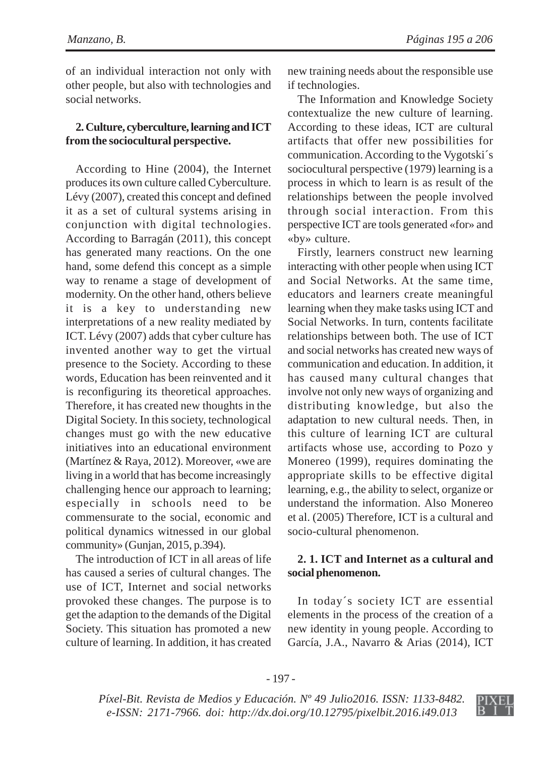of an individual interaction not only with other people, but also with technologies and social networks.

#### **2. Culture, cyberculture, learning and ICT from the sociocultural perspective.**

According to Hine (2004), the Internet produces its own culture called Cyberculture. Lévy (2007), created this concept and defined it as a set of cultural systems arising in conjunction with digital technologies. According to Barragán (2011), this concept has generated many reactions. On the one hand, some defend this concept as a simple way to rename a stage of development of modernity. On the other hand, others believe it is a key to understanding new interpretations of a new reality mediated by ICT. Lévy (2007) adds that cyber culture has invented another way to get the virtual presence to the Society. According to these words, Education has been reinvented and it is reconfiguring its theoretical approaches. Therefore, it has created new thoughts in the Digital Society. In this society, technological changes must go with the new educative initiatives into an educational environment (Martínez & Raya, 2012). Moreover, «we are living in a world that has become increasingly challenging hence our approach to learning; especially in schools need to be commensurate to the social, economic and political dynamics witnessed in our global community» (Gunjan, 2015, p.394).

The introduction of ICT in all areas of life has caused a series of cultural changes. The use of ICT, Internet and social networks provoked these changes. The purpose is to get the adaption to the demands of the Digital Society. This situation has promoted a new culture of learning. In addition, it has created

new training needs about the responsible use if technologies.

The Information and Knowledge Society contextualize the new culture of learning. According to these ideas, ICT are cultural artifacts that offer new possibilities for communication. According to the Vygotski´s sociocultural perspective (1979) learning is a process in which to learn is as result of the relationships between the people involved through social interaction. From this perspective ICT are tools generated «for» and «by» culture.

Firstly, learners construct new learning interacting with other people when using ICT and Social Networks. At the same time, educators and learners create meaningful learning when they make tasks using ICT and Social Networks. In turn, contents facilitate relationships between both. The use of ICT and social networks has created new ways of communication and education. In addition, it has caused many cultural changes that involve not only new ways of organizing and distributing knowledge, but also the adaptation to new cultural needs. Then, in this culture of learning ICT are cultural artifacts whose use, according to Pozo y Monereo (1999), requires dominating the appropriate skills to be effective digital learning, e.g., the ability to select, organize or understand the information. Also Monereo et al. (2005) Therefore, ICT is a cultural and socio-cultural phenomenon.

#### **2. 1. ICT and Internet as a cultural and social phenomenon.**

In today´s society ICT are essential elements in the process of the creation of a new identity in young people. According to García, J.A., Navarro & Arias (2014), ICT

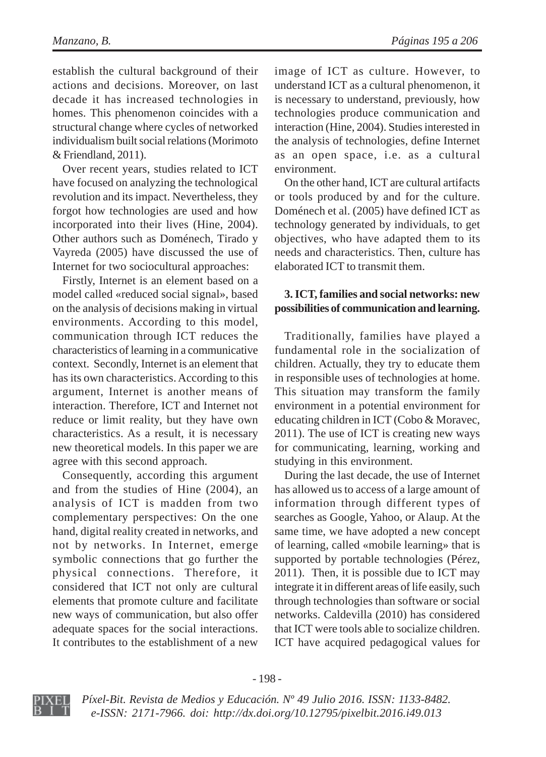establish the cultural background of their actions and decisions. Moreover, on last decade it has increased technologies in homes. This phenomenon coincides with a structural change where cycles of networked individualism built social relations (Morimoto & Friendland, 2011).

Over recent years, studies related to ICT have focused on analyzing the technological revolution and its impact. Nevertheless, they forgot how technologies are used and how incorporated into their lives (Hine, 2004). Other authors such as Doménech, Tirado y Vayreda (2005) have discussed the use of Internet for two sociocultural approaches:

Firstly, Internet is an element based on a model called «reduced social signal», based on the analysis of decisions making in virtual environments. According to this model, communication through ICT reduces the characteristics of learning in a communicative context. Secondly, Internet is an element that has its own characteristics. According to this argument, Internet is another means of interaction. Therefore, ICT and Internet not reduce or limit reality, but they have own characteristics. As a result, it is necessary new theoretical models. In this paper we are agree with this second approach.

Consequently, according this argument and from the studies of Hine (2004), an analysis of ICT is madden from two complementary perspectives: On the one hand, digital reality created in networks, and not by networks. In Internet, emerge symbolic connections that go further the physical connections. Therefore, it considered that ICT not only are cultural elements that promote culture and facilitate new ways of communication, but also offer adequate spaces for the social interactions. It contributes to the establishment of a new

image of ICT as culture. However, to understand ICT as a cultural phenomenon, it is necessary to understand, previously, how technologies produce communication and interaction (Hine, 2004). Studies interested in the analysis of technologies, define Internet as an open space, i.e. as a cultural environment.

On the other hand, ICT are cultural artifacts or tools produced by and for the culture. Doménech et al. (2005) have defined ICT as technology generated by individuals, to get objectives, who have adapted them to its needs and characteristics. Then, culture has elaborated ICT to transmit them.

### **3. ICT, families and social networks: new possibilities of communication and learning.**

Traditionally, families have played a fundamental role in the socialization of children. Actually, they try to educate them in responsible uses of technologies at home. This situation may transform the family environment in a potential environment for educating children in ICT (Cobo & Moravec, 2011). The use of ICT is creating new ways for communicating, learning, working and studying in this environment.

During the last decade, the use of Internet has allowed us to access of a large amount of information through different types of searches as Google, Yahoo, or Alaup. At the same time, we have adopted a new concept of learning, called «mobile learning» that is supported by portable technologies (Pérez, 2011). Then, it is possible due to ICT may integrate it in different areas of life easily, such through technologies than software or social networks. Caldevilla (2010) has considered that ICT were tools able to socialize children. ICT have acquired pedagogical values for

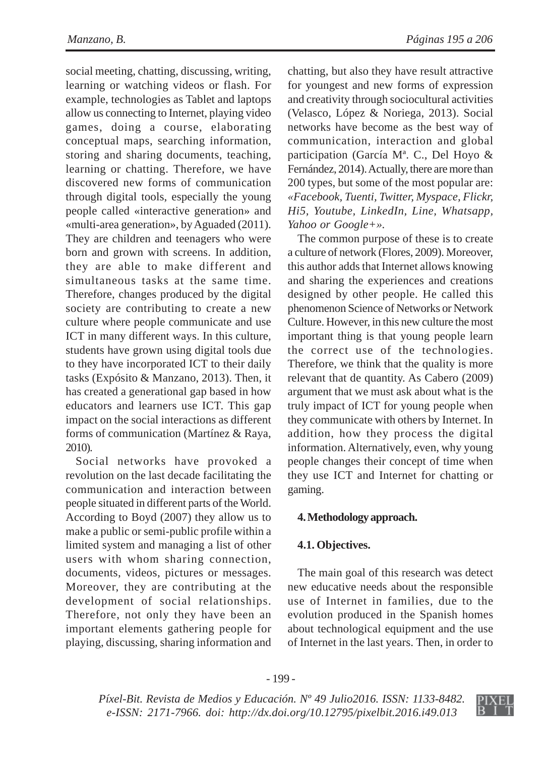social meeting, chatting, discussing, writing, learning or watching videos or flash. For example, technologies as Tablet and laptops allow us connecting to Internet, playing video games, doing a course, elaborating conceptual maps, searching information, storing and sharing documents, teaching, learning or chatting. Therefore, we have discovered new forms of communication through digital tools, especially the young people called «interactive generation» and «multi-area generation», by Aguaded (2011). They are children and teenagers who were born and grown with screens. In addition, they are able to make different and simultaneous tasks at the same time. Therefore, changes produced by the digital society are contributing to create a new culture where people communicate and use ICT in many different ways. In this culture, students have grown using digital tools due to they have incorporated ICT to their daily tasks (Expósito & Manzano, 2013). Then, it has created a generational gap based in how educators and learners use ICT. This gap impact on the social interactions as different forms of communication (Martínez & Raya, 2010).

Social networks have provoked a revolution on the last decade facilitating the communication and interaction between people situated in different parts of the World. According to Boyd (2007) they allow us to make a public or semi-public profile within a limited system and managing a list of other users with whom sharing connection, documents, videos, pictures or messages. Moreover, they are contributing at the development of social relationships. Therefore, not only they have been an important elements gathering people for playing, discussing, sharing information and

chatting, but also they have result attractive for youngest and new forms of expression and creativity through sociocultural activities (Velasco, López & Noriega, 2013). Social networks have become as the best way of communication, interaction and global participation (García Mª. C., Del Hoyo & Fernández, 2014). Actually, there are more than 200 types, but some of the most popular are: *«Facebook, Tuenti, Twitter, Myspace, Flickr, Hi5, Youtube, LinkedIn, Line, Whatsapp, Yahoo or Google+».*

The common purpose of these is to create a culture of network (Flores, 2009). Moreover, this author adds that Internet allows knowing and sharing the experiences and creations designed by other people. He called this phenomenon Science of Networks or Network Culture. However, in this new culture the most important thing is that young people learn the correct use of the technologies. Therefore, we think that the quality is more relevant that de quantity. As Cabero (2009) argument that we must ask about what is the truly impact of ICT for young people when they communicate with others by Internet. In addition, how they process the digital information. Alternatively, even, why young people changes their concept of time when they use ICT and Internet for chatting or gaming.

#### **4. Methodology approach.**

#### **4.1. Objectives.**

The main goal of this research was detect new educative needs about the responsible use of Internet in families, due to the evolution produced in the Spanish homes about technological equipment and the use of Internet in the last years. Then, in order to

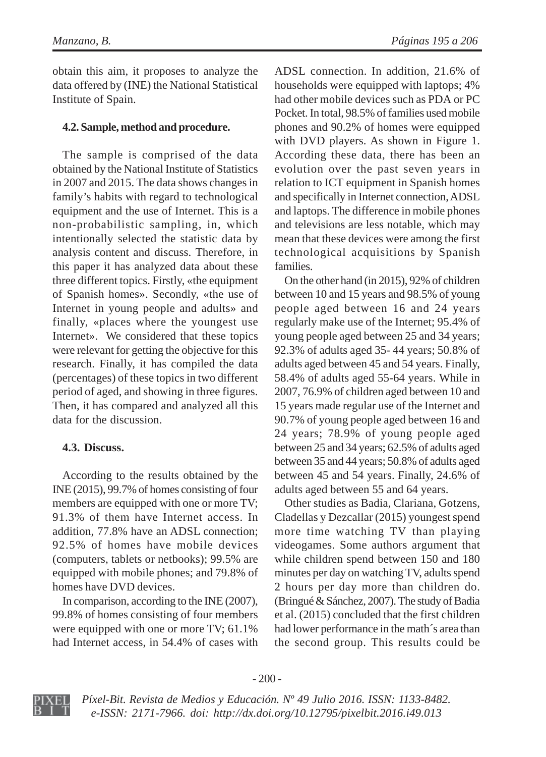obtain this aim, it proposes to analyze the data offered by (INE) the National Statistical Institute of Spain.

#### **4.2. Sample, method and procedure.**

The sample is comprised of the data obtained by the National Institute of Statistics in 2007 and 2015. The data shows changes in family's habits with regard to technological equipment and the use of Internet. This is a non-probabilistic sampling, in, which intentionally selected the statistic data by analysis content and discuss. Therefore, in this paper it has analyzed data about these three different topics. Firstly, «the equipment of Spanish homes». Secondly, «the use of Internet in young people and adults» and finally, «places where the youngest use Internet». We considered that these topics were relevant for getting the objective for this research. Finally, it has compiled the data (percentages) of these topics in two different period of aged, and showing in three figures. Then, it has compared and analyzed all this data for the discussion.

#### **4.3. Discuss.**

According to the results obtained by the INE (2015), 99.7% of homes consisting of four members are equipped with one or more TV; 91.3% of them have Internet access. In addition, 77.8% have an ADSL connection; 92.5% of homes have mobile devices (computers, tablets or netbooks); 99.5% are equipped with mobile phones; and 79.8% of homes have DVD devices.

In comparison, according to the INE (2007), 99.8% of homes consisting of four members were equipped with one or more TV; 61.1% had Internet access, in 54.4% of cases with ADSL connection. In addition, 21.6% of households were equipped with laptops; 4% had other mobile devices such as PDA or PC Pocket. In total, 98.5% of families used mobile phones and 90.2% of homes were equipped with DVD players. As shown in Figure 1. According these data, there has been an evolution over the past seven years in relation to ICT equipment in Spanish homes and specifically in Internet connection, ADSL and laptops. The difference in mobile phones and televisions are less notable, which may mean that these devices were among the first technological acquisitions by Spanish families.

On the other hand (in 2015), 92% of children between 10 and 15 years and 98.5% of young people aged between 16 and 24 years regularly make use of the Internet; 95.4% of young people aged between 25 and 34 years; 92.3% of adults aged 35- 44 years; 50.8% of adults aged between 45 and 54 years. Finally, 58.4% of adults aged 55-64 years. While in 2007, 76.9% of children aged between 10 and 15 years made regular use of the Internet and 90.7% of young people aged between 16 and 24 years; 78.9% of young people aged between 25 and 34 years; 62.5% of adults aged between 35 and 44 years; 50.8% of adults aged between 45 and 54 years. Finally, 24.6% of adults aged between 55 and 64 years.

Other studies as Badia, Clariana, Gotzens, Cladellas y Dezcallar (2015) youngest spend more time watching TV than playing videogames. Some authors argument that while children spend between 150 and 180 minutes per day on watching TV, adults spend 2 hours per day more than children do. (Bringué & Sánchez, 2007). The study of Badia et al. (2015) concluded that the first children had lower performance in the math´s area than the second group. This results could be

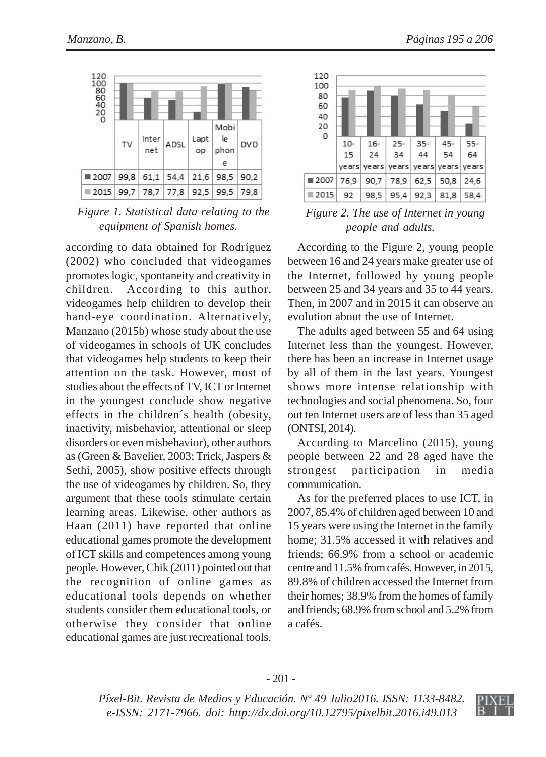

*Figure 1. Statistical data relating to the equipment of Spanish homes.*

according to data obtained for Rodríguez (2002) who concluded that videogames promotes logic, spontaneity and creativity in children. According to this author, videogames help children to develop their hand-eye coordination. Alternatively, Manzano (2015b) whose study about the use of videogames in schools of UK concludes that videogames help students to keep their attention on the task. However, most of studies about the effects of TV, ICT or Internet in the youngest conclude show negative effects in the children´s health (obesity, inactivity, misbehavior, attentional or sleep disorders or even misbehavior), other authors as (Green & Bavelier, 2003; Trick, Jaspers & Sethi, 2005), show positive effects through the use of videogames by children. So, they argument that these tools stimulate certain learning areas. Likewise, other authors as Haan (2011) have reported that online educational games promote the development of ICT skills and competences among young people. However, Chik (2011) pointed out that the recognition of online games as educational tools depends on whether students consider them educational tools, or otherwise they consider that online educational games are just recreational tools.



*Figure 2. The use of Internet in young people and adults.*

According to the Figure 2, young people between 16 and 24 years make greater use of the Internet, followed by young people between 25 and 34 years and 35 to 44 years. Then, in 2007 and in 2015 it can observe an evolution about the use of Internet.

The adults aged between 55 and 64 using Internet less than the youngest. However, there has been an increase in Internet usage by all of them in the last years. Youngest shows more intense relationship with technologies and social phenomena. So, four out ten Internet users are of less than 35 aged (ONTSI, 2014).

According to Marcelino (2015), young people between 22 and 28 aged have the strongest participation in media communication.

As for the preferred places to use ICT, in 2007, 85.4% of children aged between 10 and 15 years were using the Internet in the family home; 31.5% accessed it with relatives and friends; 66.9% from a school or academic centre and 11.5% from cafés. However, in 2015, 89.8% of children accessed the Internet from their homes; 38.9% from the homes of family and friends; 68.9% from school and 5.2% from a cafés.

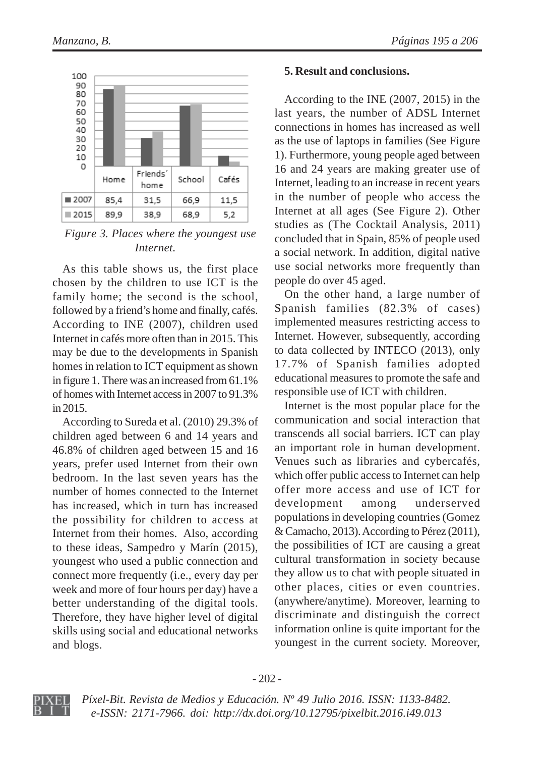

*Figure 3. Places where the youngest use Internet.*

As this table shows us, the first place chosen by the children to use ICT is the family home; the second is the school, followed by a friend's home and finally, cafés. According to INE (2007), children used Internet in cafés more often than in 2015. This may be due to the developments in Spanish homes in relation to ICT equipment as shown in figure 1. There was an increased from 61.1% of homes with Internet access in 2007 to 91.3% in 2015.

According to Sureda et al. (2010) 29.3% of children aged between 6 and 14 years and 46.8% of children aged between 15 and 16 years, prefer used Internet from their own bedroom. In the last seven years has the number of homes connected to the Internet has increased, which in turn has increased the possibility for children to access at Internet from their homes. Also, according to these ideas, Sampedro y Marín (2015), youngest who used a public connection and connect more frequently (i.e., every day per week and more of four hours per day) have a better understanding of the digital tools. Therefore, they have higher level of digital skills using social and educational networks and blogs.

#### **5. Result and conclusions.**

According to the INE (2007, 2015) in the last years, the number of ADSL Internet connections in homes has increased as well as the use of laptops in families (See Figure 1). Furthermore, young people aged between 16 and 24 years are making greater use of Internet, leading to an increase in recent years in the number of people who access the Internet at all ages (See Figure 2). Other studies as (The Cocktail Analysis, 2011) concluded that in Spain, 85% of people used a social network. In addition, digital native use social networks more frequently than people do over 45 aged.

On the other hand, a large number of Spanish families (82.3% of cases) implemented measures restricting access to Internet. However, subsequently, according to data collected by INTECO (2013), only 17.7% of Spanish families adopted educational measures to promote the safe and responsible use of ICT with children.

Internet is the most popular place for the communication and social interaction that transcends all social barriers. ICT can play an important role in human development. Venues such as libraries and cybercafés, which offer public access to Internet can help offer more access and use of ICT for development among underserved populations in developing countries (Gomez & Camacho, 2013). According to Pérez (2011), the possibilities of ICT are causing a great cultural transformation in society because they allow us to chat with people situated in other places, cities or even countries. (anywhere/anytime). Moreover, learning to discriminate and distinguish the correct information online is quite important for the youngest in the current society. Moreover,

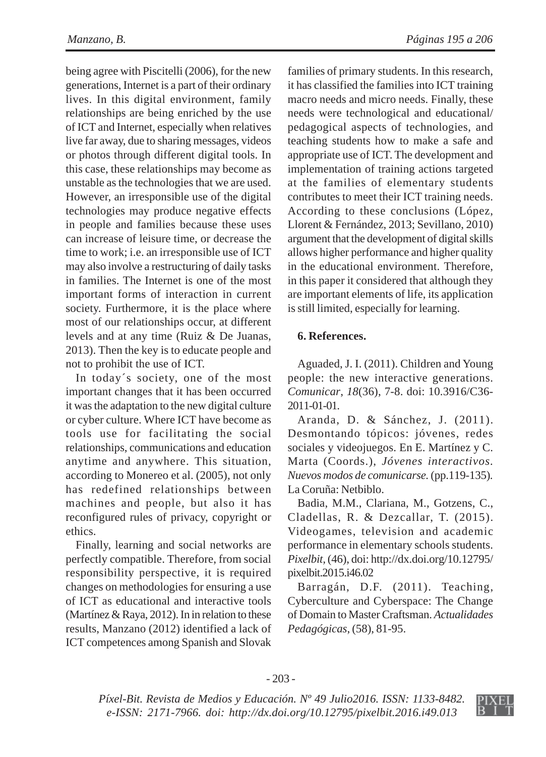being agree with Piscitelli (2006), for the new generations, Internet is a part of their ordinary lives. In this digital environment, family relationships are being enriched by the use of ICT and Internet, especially when relatives live far away, due to sharing messages, videos or photos through different digital tools. In this case, these relationships may become as unstable as the technologies that we are used. However, an irresponsible use of the digital technologies may produce negative effects in people and families because these uses can increase of leisure time, or decrease the time to work; i.e. an irresponsible use of ICT may also involve a restructuring of daily tasks in families. The Internet is one of the most important forms of interaction in current society. Furthermore, it is the place where most of our relationships occur, at different levels and at any time (Ruiz & De Juanas, 2013). Then the key is to educate people and not to prohibit the use of ICT.

In today´s society, one of the most important changes that it has been occurred it was the adaptation to the new digital culture or cyber culture. Where ICT have become as tools use for facilitating the social relationships, communications and education anytime and anywhere. This situation, according to Monereo et al. (2005), not only has redefined relationships between machines and people, but also it has reconfigured rules of privacy, copyright or ethics.

Finally, learning and social networks are perfectly compatible. Therefore, from social responsibility perspective, it is required changes on methodologies for ensuring a use of ICT as educational and interactive tools (Martínez & Raya, 2012). In in relation to these results, Manzano (2012) identified a lack of ICT competences among Spanish and Slovak

families of primary students. In this research, it has classified the families into ICT training macro needs and micro needs. Finally, these needs were technological and educational/ pedagogical aspects of technologies, and teaching students how to make a safe and appropriate use of ICT. The development and implementation of training actions targeted at the families of elementary students contributes to meet their ICT training needs. According to these conclusions (López, Llorent & Fernández, 2013; Sevillano, 2010) argument that the development of digital skills allows higher performance and higher quality in the educational environment. Therefore, in this paper it considered that although they are important elements of life, its application is still limited, especially for learning.

#### **6. References.**

Aguaded, J. I. (2011). Children and Young people: the new interactive generations. *Comunicar*, *18*(36), 7-8. doi: 10.3916/C36- 2011-01-01.

Aranda, D. & Sánchez, J. (2011). Desmontando tópicos: jóvenes, redes sociales y videojuegos. En E. Martínez y C. Marta (Coords.), *Jóvenes interactivos. Nuevos modos de comunicarse.* (pp.119-135)*.* La Coruña: Netbiblo.

Badia, M.M., Clariana, M., Gotzens, C., Cladellas, R. & Dezcallar, T. (2015). Videogames, television and academic performance in elementary schools students. *Pixelbit,* (46), doi: http://dx.doi.org/10.12795/ pixelbit.2015.i46.02

Barragán, D.F. (2011). Teaching, Cyberculture and Cyberspace: The Change of Domain to Master Craftsman. *Actualidades Pedagógicas*, (58), 81-95.

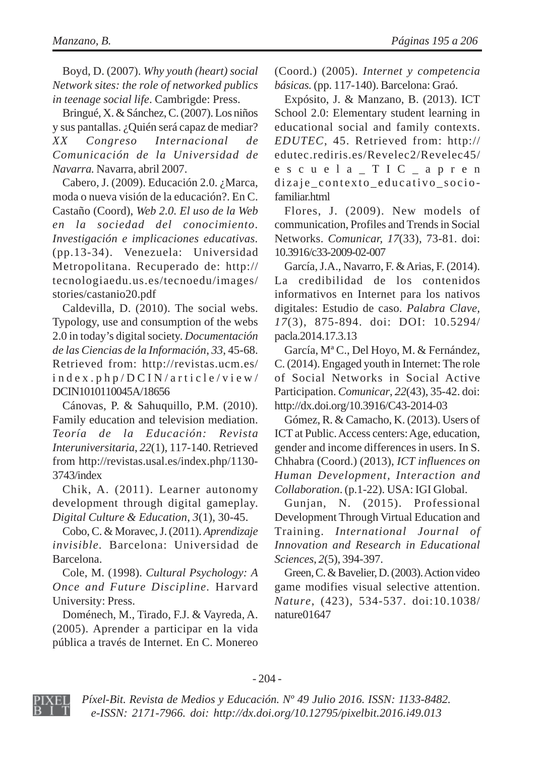Boyd, D. (2007). *Why youth (heart) social Network sites: the role of networked publics in teenage social life*. Cambrigde: Press.

Bringué, X. & Sánchez, C. (2007). Los niños y sus pantallas. ¿Quién será capaz de mediar? *XX Congreso Internacional de Comunicación de la Universidad de Navarra.* Navarra, abril 2007.

Cabero, J. (2009). Educación 2.0. ¿Marca, moda o nueva visión de la educación?. En C. Castaño (Coord), *Web 2.0. El uso de la Web en la sociedad del conocimiento. Investigación e implicaciones educativas.* (pp.13-34). Venezuela: Universidad Metropolitana. Recuperado de: http:// tecnologiaedu.us.es/tecnoedu/images/ stories/castanio20.pdf

Caldevilla, D. (2010). The social webs. Typology, use and consumption of the webs 2.0 in today's digital society. *Documentación de las Ciencias de la Información*, *33*, 45-68. Retrieved from: http://revistas.ucm.es/ index.php/DCIN/article/view/ DCIN1010110045A/18656

Cánovas, P. & Sahuquillo, P.M. (2010). Family education and television mediation. *Teoría de la Educación: Revista Interuniversitaria*, *22*(1), 117-140. Retrieved from http://revistas.usal.es/index.php/1130- 3743/index

Chik, A. (2011). Learner autonomy development through digital gameplay. *Digital Culture & Education*, *3*(1), 30-45.

Cobo, C. & Moravec, J. (2011). *Aprendizaje invisible.* Barcelona: Universidad de Barcelona.

Cole, M. (1998). *Cultural Psychology: A Once and Future Discipline.* Harvard University: Press.

Doménech, M., Tirado, F.J. & Vayreda, A. (2005). Aprender a participar en la vida pública a través de Internet. En C. Monereo

(Coord.) (2005). *Internet y competencia básicas.* (pp. 117-140). Barcelona: Graó.

Expósito, J. & Manzano, B. (2013). ICT School 2.0: Elementary student learning in educational social and family contexts. *EDUTEC*, 45. Retrieved from: http:// edutec.rediris.es/Revelec2/Revelec45/ escuela\_TIC\_apren dizaje contexto educativo sociofamiliar.html

Flores, J. (2009). New models of communication, Profiles and Trends in Social Networks. *Comunicar, 17*(33), 73-81. doi: 10.3916/c33-2009-02-007

García, J.A., Navarro, F. & Arias, F. (2014). La credibilidad de los contenidos informativos en Internet para los nativos digitales: Estudio de caso. *Palabra Clave, 17*(3), 875-894. doi: DOI: 10.5294/ pacla.2014.17.3.13

García, Mª C., Del Hoyo, M. & Fernández, C. (2014). Engaged youth in Internet: The role of Social Networks in Social Active Participation. *Comunicar*, *22*(43), 35-42. doi: http://dx.doi.org/10.3916/C43-2014-03

Gómez, R. & Camacho, K. (2013). Users of ICT at Public. Access centers: Age, education, gender and income differences in users. In S. Chhabra (Coord.) (2013), *ICT influences on Human Development, Interaction and Collaboration*. (p.1-22). USA: IGI Global.

Gunjan, N. (2015). Professional Development Through Virtual Education and Training. *International Journal of Innovation and Research in Educational Sciences*, *2*(5), 394-397.

Green, C. & Bavelier, D. (2003). Action video game modifies visual selective attention. *Nature*, (423), 534-537. doi:10.1038/ nature01647

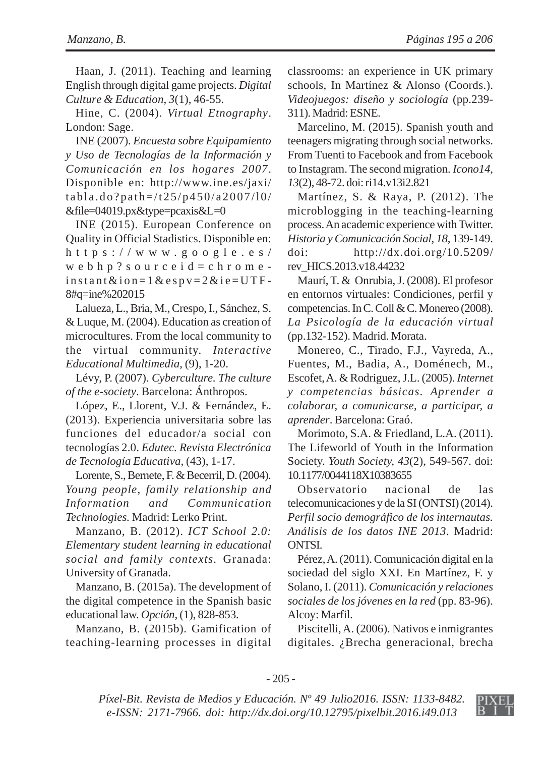Haan, J. (2011). Teaching and learning English through digital game projects. *Digital Culture & Education*, *3*(1), 46-55.

Hine, C. (2004). *Virtual Etnography*. London: Sage.

INE (2007). *Encuesta sobre Equipamiento y Uso de Tecnologías de la Información y Comunicación en los hogares 2007*. Disponible en: http://www.ine.es/jaxi/ tabla.do?path=/t25/p450/a2007/l0/ &file=04019.px&type=pcaxis&L=0

INE (2015). European Conference on Quality in Official Stadistics. Disponible en: https://www.google.es/ webhp?sourceid=chromeinstant&ion=1&espv=2&ie=UTF-8#q=ine%202015

Lalueza, L., Bria, M., Crespo, I., Sánchez, S. & Luque, M. (2004). Education as creation of microcultures. From the local community to the virtual community. *Interactive Educational Multimedia*, (9), 1-20.

Lévy, P. (2007). *Cyberculture. The culture of the e-society*. Barcelona: Ánthropos.

López, E., Llorent, V.J. & Fernández, E. (2013). Experiencia universitaria sobre las funciones del educador/a social con tecnologías 2.0. *Edutec. Revista Electrónica de Tecnología Educativa*, (43), 1-17.

Lorente, S., Bernete, F. & Becerril, D. (2004). *Young people, family relationship and Information and Communication Technologies.* Madrid: Lerko Print.

Manzano, B. (2012). *ICT School 2.0: Elementary student learning in educational social and family contexts.* Granada: University of Granada.

Manzano, B. (2015a). The development of the digital competence in the Spanish basic educational law. *Opción*, (1), 828-853.

Manzano, B. (2015b). Gamification of teaching-learning processes in digital

classrooms: an experience in UK primary schools, In Martínez & Alonso (Coords.). *Videojuegos: diseño y sociología* (pp.239- 311). Madrid: ESNE.

Marcelino, M. (2015). Spanish youth and teenagers migrating through social networks. From Tuenti to Facebook and from Facebook to Instagram. The second migration. *Icono14*, *13*(2), 48-72. doi: ri14.v13i2.821

Martínez, S. & Raya, P. (2012). The microblogging in the teaching-learning process. An academic experience with Twitter. *Historia y Comunicación Social, 18*, 139-149. doi: http://dx.doi.org/10.5209/ rev\_HICS.2013.v18.44232

Maurí, T. & Onrubia, J. (2008). El profesor en entornos virtuales: Condiciones, perfil y competencias. In C. Coll & C. Monereo (2008). *La Psicología de la educación virtual* (pp.132-152). Madrid. Morata.

Monereo, C., Tirado, F.J., Vayreda, A., Fuentes, M., Badia, A., Doménech, M., Escofet, A. & Rodriguez, J.L. (2005). *Internet y competencias básicas. Aprender a colaborar, a comunicarse, a participar, a aprender*. Barcelona: Graó.

Morimoto, S.A. & Friedland, L.A. (2011). The Lifeworld of Youth in the Information Society. *Youth Society, 43*(2), 549-567. doi: 10.1177/0044118X10383655

Observatorio nacional de las telecomunicaciones y de la SI (ONTSI) (2014). *Perfil socio demográfico de los internautas. Análisis de los datos INE 2013*. Madrid: ONTSI.

Pérez, A. (2011). Comunicación digital en la sociedad del siglo XXI. En Martínez, F. y Solano, I. (2011). *Comunicación y relaciones sociales de los jóvenes en la red* (pp. 83-96). Alcoy: Marfil.

Piscitelli, A. (2006). Nativos e inmigrantes digitales. ¿Brecha generacional, brecha